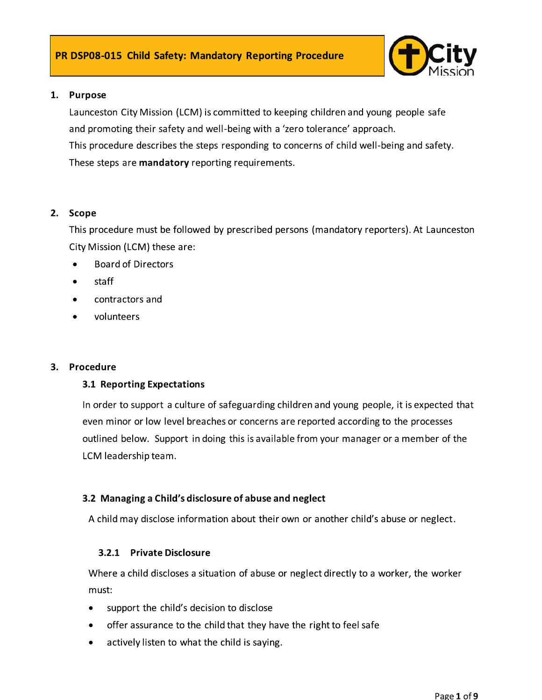

### 1. Purpose

Launceston City Mission (LCM) is committed to keeping children and young people safe and promoting their safety and well-being with a 'zero tolerance' approach. This procedure describes the steps responding to concerns of child well-being and safety. These steps are mandatory reporting requirements.

### 2. Scope

This procedure must be followed by prescribed persons (mandatory reporters). At Launceston City Mission (LCM) these are:

- **Board of Directors**
- staff
- contractors and
- volunteers  $\bullet$

### 3. Procedure

### **3.1 Reporting Expectations**

In order to support a culture of safeguarding children and young people, it is expected that even minor or low level breaches or concerns are reported according to the processes outlined below. Support in doing this is available from your manager or a member of the LCM leadership team.

### 3.2 Managing a Child's disclosure of abuse and neglect

A child may disclose information about their own or another child's abuse or neglect.

### 3.2.1 Private Disclosure

Where a child discloses a situation of abuse or neglect directly to a worker, the worker must:

- support the child's decision to disclose  $\bullet$
- offer assurance to the child that they have the right to feel safe
- actively listen to what the child is saying.  $\bullet$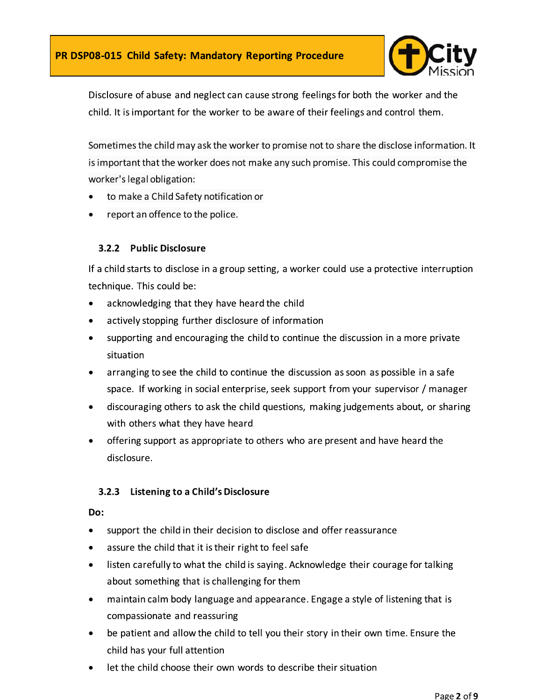

Disclosure of abuse and neglect can cause strong feelings for both the worker and the child. It is important for the worker to be aware of their feelings and control them.

Sometimes the child may ask the worker to promise not to share the disclose information. It is important that the worker does not make any such promise. This could compromise the worker's legal obligation:

- to make a Child Safety notification or
- report an offence to the police.

### 3.2.2 Public Disclosure

If a child starts to disclose in a group setting, a worker could use a protective interruption technique. This could be:

- acknowledging that they have heard the child  $\bullet$
- actively stopping further disclosure of information
- supporting and encouraging the child to continue the discussion in a more private situation
- arranging to see the child to continue the discussion as soon as possible in a safe space. If working in social enterprise, seek support from your supervisor / manager
- discouraging others to ask the child questions, making judgements about, or sharing  $\bullet$ with others what they have heard
- offering support as appropriate to others who are present and have heard the  $\bullet$ disclosure.

### 3.2.3 Listening to a Child's Disclosure

### Do:

- support the child in their decision to disclose and offer reassurance
- assure the child that it is their right to feel safe
- listen carefully to what the child is saying. Acknowledge their courage for talking  $\bullet$ about something that is challenging for them
- maintain calm body language and appearance. Engage a style of listening that is  $\bullet$ compassionate and reassuring
- be patient and allow the child to tell you their story in their own time. Ensure the child has your full attention
- let the child choose their own words to describe their situation  $\bullet$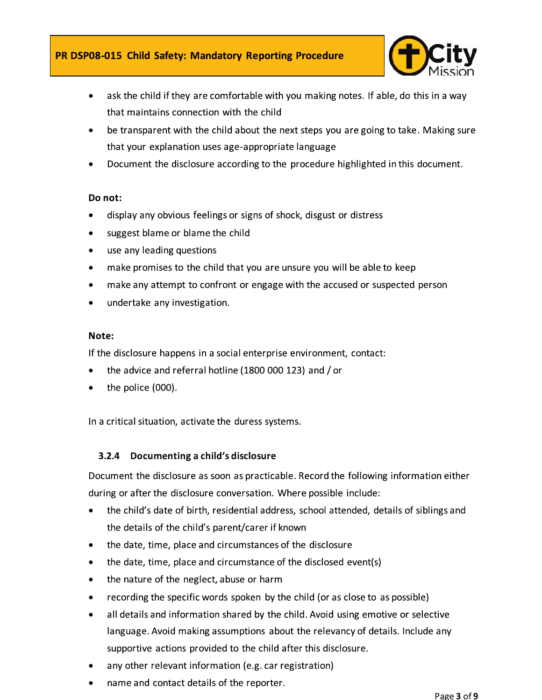

- ask the child if they are comfortable with you making notes. If able, do this in a way that maintains connection with the child
- be transparent with the child about the next steps you are going to take. Making sure that your explanation uses age-appropriate language
- Document the disclosure according to the procedure highlighted in this document.  $\bullet$

### Do not:

- display any obvious feelings or signs of shock, disgust or distress
- suggest blame or blame the child
- use any leading questions
- make promises to the child that you are unsure you will be able to keep
- make any attempt to confront or engage with the accused or suspected person
- undertake any investigation.

### Note:

If the disclosure happens in a social enterprise environment, contact:

- the advice and referral hotline (1800 000 123) and / or
- the police (000).

In a critical situation, activate the duress systems.

### 3.2.4 Documenting a child's disclosure

Document the disclosure as soon as practicable. Record the following information either during or after the disclosure conversation. Where possible include:

- the child's date of birth, residential address, school attended, details of siblings and  $\bullet$ the details of the child's parent/carer if known
- the date, time, place and circumstances of the disclosure  $\bullet$
- the date, time, place and circumstance of the disclosed event(s)
- the nature of the neglect, abuse or harm
- recording the specific words spoken by the child (or as close to as possible)
- all details and information shared by the child. Avoid using emotive or selective language. Avoid making assumptions about the relevancy of details. Include any supportive actions provided to the child after this disclosure.
- any other relevant information (e.g. car registration)
- name and contact details of the reporter.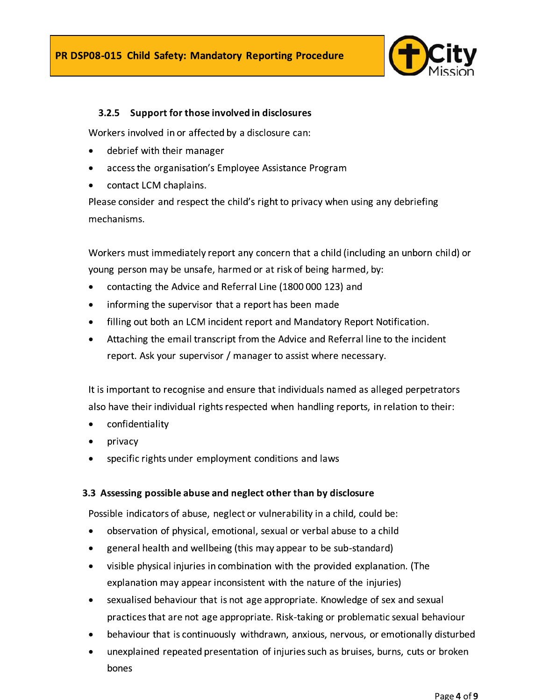

### 3.2.5 Support for those involved in disclosures

Workers involved in or affected by a disclosure can:

- debrief with their manager
- access the organisation's Employee Assistance Program
- contact LCM chaplains.

Please consider and respect the child's right to privacy when using any debriefing mechanisms.

Workers must immediately report any concern that a child (including an unborn child) or young person may be unsafe, harmed or at risk of being harmed, by:

- contacting the Advice and Referral Line (1800 000 123) and
- informing the supervisor that a report has been made  $\bullet$
- filling out both an LCM incident report and Mandatory Report Notification.  $\bullet$
- Attaching the email transcript from the Advice and Referral line to the incident  $\bullet$ report. Ask your supervisor / manager to assist where necessary.

It is important to recognise and ensure that individuals named as alleged perpetrators also have their individual rights respected when handling reports, in relation to their:

- confidentiality  $\bullet$
- privacy
- specific rights under employment conditions and laws

### 3.3 Assessing possible abuse and neglect other than by disclosure

Possible indicators of abuse, neglect or vulnerability in a child, could be:

- observation of physical, emotional, sexual or verbal abuse to a child  $\bullet$
- general health and wellbeing (this may appear to be sub-standard)
- visible physical injuries in combination with the provided explanation. (The  $\bullet$ explanation may appear inconsistent with the nature of the injuries)
- sexualised behaviour that is not age appropriate. Knowledge of sex and sexual  $\bullet$ practices that are not age appropriate. Risk-taking or problematic sexual behaviour
- behaviour that is continuously withdrawn, anxious, nervous, or emotionally disturbed
- unexplained repeated presentation of injuries such as bruises, burns, cuts or broken  $\bullet$ bones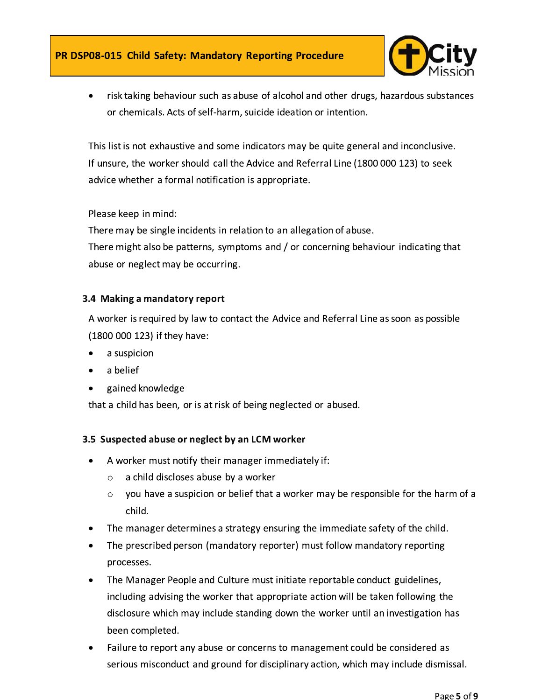

risk taking behaviour such as abuse of alcohol and other drugs, hazardous substances or chemicals. Acts of self-harm, suicide ideation or intention.

This list is not exhaustive and some indicators may be quite general and inconclusive. If unsure, the worker should call the Advice and Referral Line (1800 000 123) to seek advice whether a formal notification is appropriate.

Please keep in mind:

There may be single incidents in relation to an allegation of abuse. There might also be patterns, symptoms and / or concerning behaviour indicating that abuse or neglect may be occurring.

### 3.4 Making a mandatory report

A worker is required by law to contact the Advice and Referral Line as soon as possible (1800 000 123) if they have:

- a suspicion
- a belief
- gained knowledge

that a child has been, or is at risk of being neglected or abused.

### 3.5 Suspected abuse or neglect by an LCM worker

- A worker must notify their manager immediately if:
	- a child discloses abuse by a worker  $\circ$
	- you have a suspicion or belief that a worker may be responsible for the harm of a  $\circ$ child.
- The manager determines a strategy ensuring the immediate safety of the child.
- The prescribed person (mandatory reporter) must follow mandatory reporting processes.
- The Manager People and Culture must initiate reportable conduct guidelines,  $\bullet$ including advising the worker that appropriate action will be taken following the disclosure which may include standing down the worker until an investigation has been completed.
- Failure to report any abuse or concerns to management could be considered as  $\bullet$ serious misconduct and ground for disciplinary action, which may include dismissal.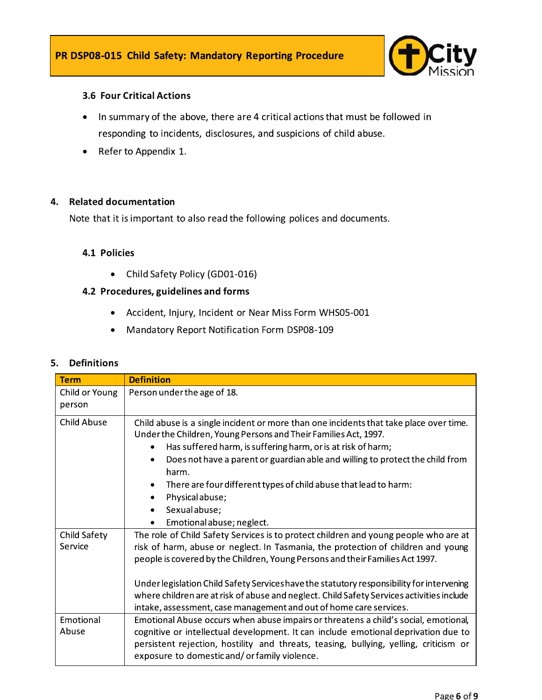

### **3.6 Four Critical Actions**

- In summary of the above, there are 4 critical actions that must be followed in  $\bullet$ responding to incidents, disclosures, and suspicions of child abuse.
- Refer to Appendix 1.  $\bullet$

### 4. Related documentation

Note that it is important to also read the following polices and documents.

### 4.1 Policies

• Child Safety Policy (GD01-016)

### 4.2 Procedures, guidelines and forms

- Accident, Injury, Incident or Near Miss Form WHS05-001
- **Mandatory Report Notification Form DSP08-109**  $\bullet$

### 5. Definitions

| <b>Term</b>         | <b>Definition</b>                                                                                                                                         |  |  |  |  |
|---------------------|-----------------------------------------------------------------------------------------------------------------------------------------------------------|--|--|--|--|
| Child or Young      | Person under the age of 18.                                                                                                                               |  |  |  |  |
| person              |                                                                                                                                                           |  |  |  |  |
| <b>Child Abuse</b>  | Child abuse is a single incident or more than one incidents that take place over time.<br>Under the Children, Young Persons and Their Families Act, 1997. |  |  |  |  |
|                     | Has suffered harm, is suffering harm, or is at risk of harm;                                                                                              |  |  |  |  |
|                     | Does not have a parent or guardian able and willing to protect the child from<br>harm.                                                                    |  |  |  |  |
|                     | There are four different types of child abuse that lead to harm:                                                                                          |  |  |  |  |
|                     | Physical abuse;                                                                                                                                           |  |  |  |  |
|                     | Sexual abuse;<br>$\bullet$                                                                                                                                |  |  |  |  |
|                     | Emotional abuse; neglect.<br>٠                                                                                                                            |  |  |  |  |
| <b>Child Safety</b> | The role of Child Safety Services is to protect children and young people who are at                                                                      |  |  |  |  |
| Service             | risk of harm, abuse or neglect. In Tasmania, the protection of children and young                                                                         |  |  |  |  |
|                     | people is covered by the Children, Young Persons and their Families Act 1997.                                                                             |  |  |  |  |
|                     |                                                                                                                                                           |  |  |  |  |
|                     | Under legislation Child Safety Services have the statutory responsibility for intervening                                                                 |  |  |  |  |
|                     | where children are at risk of abuse and neglect. Child Safety Services activities include                                                                 |  |  |  |  |
|                     | intake, assessment, case management and out of home care services.                                                                                        |  |  |  |  |
| Emotional<br>Abuse  | Emotional Abuse occurs when abuse impairs or threatens a child's social, emotional,                                                                       |  |  |  |  |
|                     | cognitive or intellectual development. It can include emotional deprivation due to                                                                        |  |  |  |  |
|                     | persistent rejection, hostility and threats, teasing, bullying, yelling, criticism or<br>exposure to domestic and/or family violence.                     |  |  |  |  |
|                     |                                                                                                                                                           |  |  |  |  |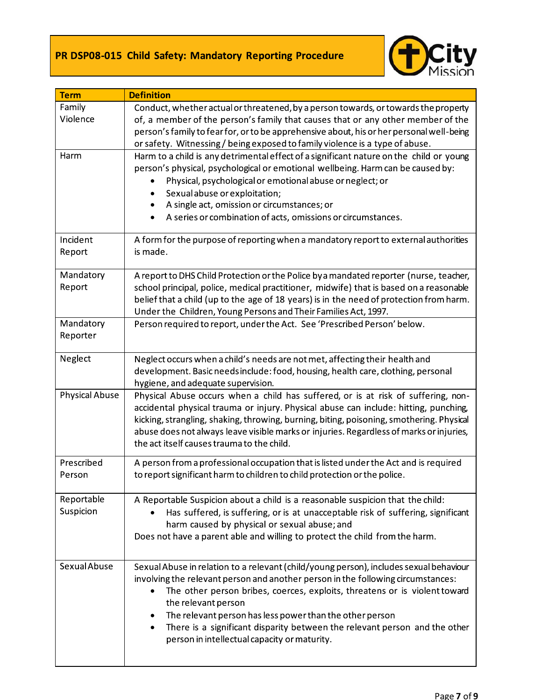

| <b>Term</b>             | <b>Definition</b>                                                                                                                                                                                                                                                                                                                                                                                                                                                                   |  |  |  |  |  |
|-------------------------|-------------------------------------------------------------------------------------------------------------------------------------------------------------------------------------------------------------------------------------------------------------------------------------------------------------------------------------------------------------------------------------------------------------------------------------------------------------------------------------|--|--|--|--|--|
| Family<br>Violence      | Conduct, whether actual or threatened, by a person towards, or towards the property<br>of, a member of the person's family that causes that or any other member of the<br>person's family to fear for, or to be apprehensive about, his or her personal well-being<br>or safety. Witnessing/being exposed to family violence is a type of abuse.                                                                                                                                    |  |  |  |  |  |
| Harm                    | Harm to a child is any detrimental effect of a significant nature on the child or young<br>person's physical, psychological or emotional wellbeing. Harm can be caused by:<br>Physical, psychological or emotional abuse or neglect; or<br>Sexual abuse or exploitation;<br>A single act, omission or circumstances; or<br>A series or combination of acts, omissions or circumstances.                                                                                             |  |  |  |  |  |
| Incident<br>Report      | A form for the purpose of reporting when a mandatory report to external authorities<br>is made.                                                                                                                                                                                                                                                                                                                                                                                     |  |  |  |  |  |
| Mandatory<br>Report     | A report to DHS Child Protection or the Police by a mandated reporter (nurse, teacher,<br>school principal, police, medical practitioner, midwife) that is based on a reasonable<br>belief that a child (up to the age of 18 years) is in the need of protection from harm.<br>Under the Children, Young Persons and Their Families Act, 1997.                                                                                                                                      |  |  |  |  |  |
| Mandatory<br>Reporter   | Person required to report, under the Act. See 'Prescribed Person' below.                                                                                                                                                                                                                                                                                                                                                                                                            |  |  |  |  |  |
| Neglect                 | Neglect occurs when a child's needs are not met, affecting their health and<br>development. Basic needs include: food, housing, health care, clothing, personal<br>hygiene, and adequate supervision.                                                                                                                                                                                                                                                                               |  |  |  |  |  |
| <b>Physical Abuse</b>   | Physical Abuse occurs when a child has suffered, or is at risk of suffering, non-<br>accidental physical trauma or injury. Physical abuse can include: hitting, punching,<br>kicking, strangling, shaking, throwing, burning, biting, poisoning, smothering. Physical<br>abuse does not always leave visible marks or injuries. Regardless of marks or injuries,<br>the act itself causes trauma to the child.                                                                      |  |  |  |  |  |
| Prescribed<br>Person    | A person from a professional occupation that is listed under the Act and is required<br>to report significant harm to children to child protection or the police.                                                                                                                                                                                                                                                                                                                   |  |  |  |  |  |
| Reportable<br>Suspicion | A Reportable Suspicion about a child is a reasonable suspicion that the child:<br>Has suffered, is suffering, or is at unacceptable risk of suffering, significant<br>harm caused by physical or sexual abuse; and<br>Does not have a parent able and willing to protect the child from the harm.                                                                                                                                                                                   |  |  |  |  |  |
| Sexual Abuse            | Sexual Abuse in relation to a relevant (child/young person), includes sexual behaviour<br>involving the relevant person and another person in the following circumstances:<br>The other person bribes, coerces, exploits, threatens or is violent toward<br>the relevant person<br>The relevant person has less power than the other person<br>٠<br>There is a significant disparity between the relevant person and the other<br>٠<br>person in intellectual capacity or maturity. |  |  |  |  |  |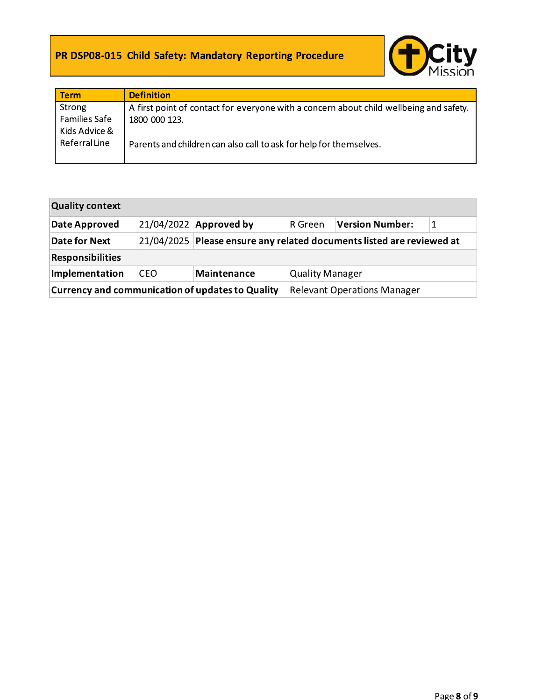### PR DSP08-015 Child Safety: Mandatory Reporting Procedure



| <b>Term</b>          | <b>Definition</b>                                                                      |
|----------------------|----------------------------------------------------------------------------------------|
| Strong               | A first point of contact for everyone with a concern about child wellbeing and safety. |
| <b>Families Safe</b> | 1800 000 123.                                                                          |
| Kids Advice &        |                                                                                        |
| Referral Line        | Parents and children can also call to ask for help for themselves.                     |
|                      |                                                                                        |

| <b>Quality context</b>                                  |     |                                                                       |                                    |                        |  |  |  |  |  |
|---------------------------------------------------------|-----|-----------------------------------------------------------------------|------------------------------------|------------------------|--|--|--|--|--|
| Date Approved                                           |     | 21/04/2022 Approved by                                                | ∣R Green.                          | <b>Version Number:</b> |  |  |  |  |  |
| <b>Date for Next</b>                                    |     | 21/04/2025 Please ensure any related documents listed are reviewed at |                                    |                        |  |  |  |  |  |
| <b>Responsibilities</b>                                 |     |                                                                       |                                    |                        |  |  |  |  |  |
| Implementation                                          | CEO | Maintenance                                                           | <b>Quality Manager</b>             |                        |  |  |  |  |  |
| <b>Currency and communication of updates to Quality</b> |     |                                                                       | <b>Relevant Operations Manager</b> |                        |  |  |  |  |  |